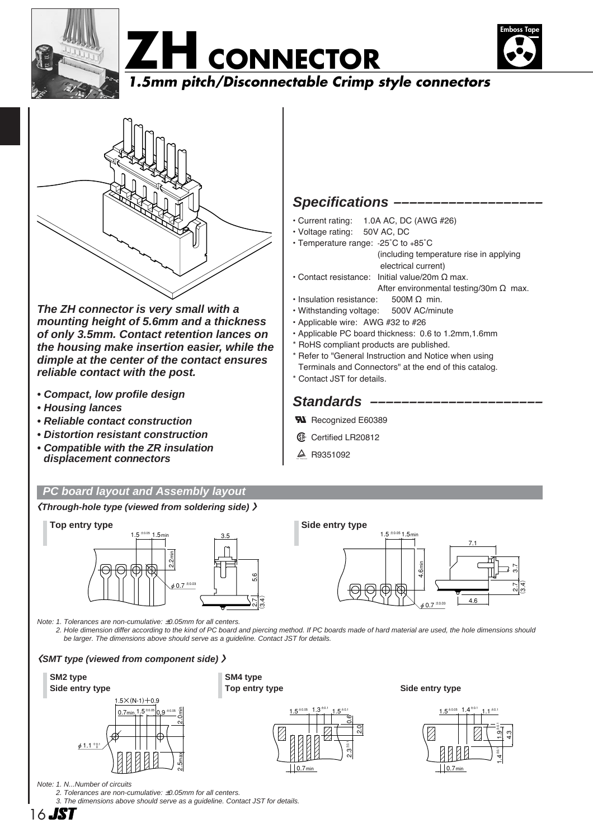







**The ZH connector is very small with a mounting height of 5.6mm and a thickness of only 3.5mm. Contact retention lances on the housing make insertion easier, while the dimple at the center of the contact ensures reliable contact with the post.**

- **Compact, low profile design**
- **Housing lances**
- **Reliable contact construction**
- **Distortion resistant construction**
- **Compatible with the ZR insulation displacement connectors**

#### **PC board layout and Assembly layout**

**〈Through-hole type (viewed from soldering side) 〉**



Note: 1. Tolerances are non-cumulative: ±0.05mm for all centers.

2. Hole dimension differ according to the kind of PC board and piercing method. If PC boards made of hard material are used, the hole dimensions should be larger. The dimensions above should serve as a guideline. Contact JST for details.

#### **〈SMT type (viewed from component side) 〉**

## $1.5 \times (N-1) + 0.9$  $0.7$ min  $1.5 + 0.05$  0.9  $\pm 0.05$  $\phi$  1.1  $^{+0.1}_{-0}$ **SM2 type Side entry type Side entry type**





 $\phi$  0.7  $^{\pm 0.03}$ 



7.1

4.6

.<br>ত  $\frac{7}{2}$  $(3.4)$ 

Note: 1. N...Number of circuits

2. Tolerances are non-cumulative: ±0.05mm for all centers.

3. The dimensions above should serve as a guideline. Contact JST for details.

2.0min

2.5max

16 **JST** 

### **Specifications –**

- Current rating: 1.0A AC, DC (AWG #26)
- Voltage rating: 50V AC, DC
- Temperature range: -25˚C to +85˚C (including temperature rise in applying electrical current)
- Contact resistance: Initial value/20m Ω max. After environmental testing/30m Ω max.
- Insulation resistance: 500M Ω min.
- Withstanding voltage: 500V AC/minute
- Applicable wire: AWG #32 to #26
- Applicable PC board thickness: 0.6 to 1.2mm,1.6mm
- \* RoHS compliant products are published.
- \* Refer to "General Instruction and Notice when using
- Terminals and Connectors" at the end of this catalog.
- \* Contact JST for details.

### **Standards –**

- **W** Recognized E60389
- **1** Certified LR20812
- $\triangle$  R9351092

 $1.5 \pm 0.05$  1.5min

4.6min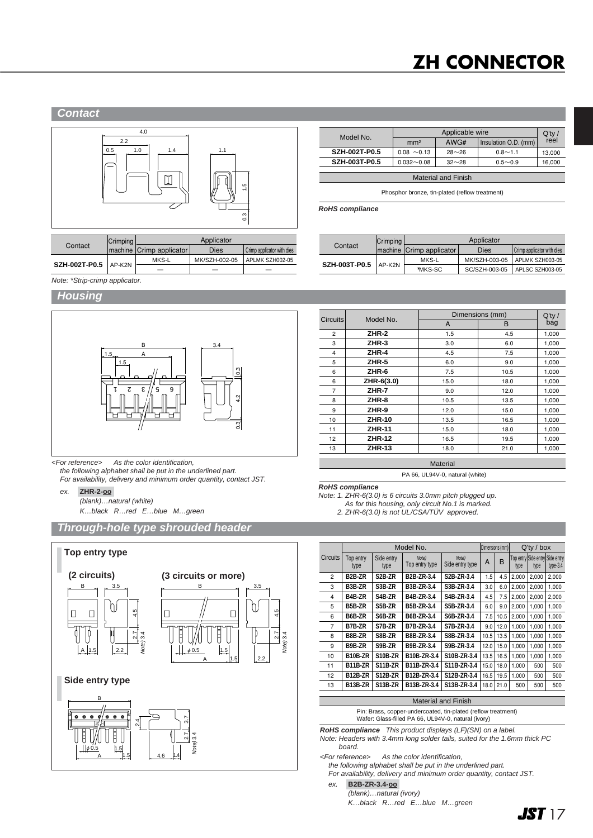# **ZH CONNECTOR**

#### **Contact**



|                        | Crimping | Applicator               |               |                            |  |  |
|------------------------|----------|--------------------------|---------------|----------------------------|--|--|
| Contact                |          | machine Crimp applicator | Dies          | Crimp applicator with dies |  |  |
|                        |          | MKS-L                    | MK/SZH-002-05 | APLMK SZH002-05            |  |  |
| SZH-002T-P0.5   AP-K2N |          |                          |               |                            |  |  |

| Model No.                  |                  | $Q'$ ty / |                      |        |  |  |  |
|----------------------------|------------------|-----------|----------------------|--------|--|--|--|
|                            | mm <sup>2</sup>  | AWG#      | Insulation O.D. (mm) | reel   |  |  |  |
| <b>SZH-002T-P0.5</b>       | $0.08 \sim 0.13$ | $28 - 26$ | $0.8 - 1.1$          | 13.000 |  |  |  |
| <b>SZH-003T-P0.5</b>       | $0.032 - 0.08$   | $32 - 28$ | $0.5 - 0.9$          | 16,000 |  |  |  |
|                            |                  |           |                      |        |  |  |  |
| <b>Material and Finish</b> |                  |           |                      |        |  |  |  |

Phosphor bronze, tin-plated (reflow treatment)

**RoHS compliance**

|                        | Crimping | Applicator               |               |                            |  |  |
|------------------------|----------|--------------------------|---------------|----------------------------|--|--|
| Contact                |          | machine Crimp applicator | Dies          | Crimp applicator with dies |  |  |
| SZH-003T-P0.5   AP-K2N |          | MKS-L                    | MK/SZH-003-05 | APLMK SZH003-05            |  |  |
|                        |          | *MKS-SC                  | SC/SZH-003-05 | APLSC SZH003-05            |  |  |

Note: \*Strip-crimp applicator.

#### **Housing**



<For reference> As the color identification,

the following alphabet shall be put in the underlined part.

For availability, delivery and minimum order quantity, contact JST.

ex. **ZHR-2-oo-**

(blank)…natural (white)

K…black R…red E…blue M…green

#### **Through-hole type shrouded header**



|                 |               | Dimensions (mm) | $Q'$ ty / |       |
|-----------------|---------------|-----------------|-----------|-------|
| <b>Circuits</b> | Model No.     | A               | B         | bag   |
| $\overline{c}$  | ZHR-2         | 1.5             | 4.5       | 1,000 |
| 3               | ZHR-3         | 3.0             | 6.0       | 1,000 |
| 4               | ZHR-4         | 4.5             | 7.5       | 1,000 |
| 5               | ZHR-5         | 6.0             | 9.0       | 1,000 |
| 6               | ZHR-6         | 7.5             | 10.5      | 1,000 |
| 6               | ZHR-6(3.0)    | 15.0            | 18.0      | 1,000 |
| $\overline{7}$  | ZHR-7         | 9.0             | 12.0      | 1,000 |
| 8               | ZHR-8         | 10.5            | 13.5      | 1,000 |
| 9               | ZHR-9         | 12.0            | 15.0      | 1,000 |
| 10              | <b>ZHR-10</b> | 13.5            | 16.5      | 1,000 |
| 11              | <b>ZHR-11</b> | 15.0            | 18.0      | 1,000 |
| 12 <sup>2</sup> | <b>ZHR-12</b> | 16.5            | 19.5      | 1,000 |
| 13              | <b>ZHR-13</b> | 18.0            | 21.0      | 1,000 |

**Material** PA 66, UL94V-0, natural (white)

**RoHS compliance**

Note: 1. ZHR-6(3.0) is 6 circuits 3.0mm pitch plugged up.

As for this housing, only circuit No.1 is marked.

2. ZHR-6(3.0) is not UL/CSA/TÜV approved.

|                 |                     | Model No.          |                         |                          |      | Dimensions (mm) |       | $Q'$ ty / box |                                               |  |
|-----------------|---------------------|--------------------|-------------------------|--------------------------|------|-----------------|-------|---------------|-----------------------------------------------|--|
| <b>Circuits</b> | Top entry<br>type   | Side entry<br>type | Note)<br>Top entry type | Note)<br>Side entry type | A    | B               | type  | type          | Top entry Side entry Side entry<br>$type-3.4$ |  |
| $\overline{2}$  | B <sub>2</sub> B-ZR | S2B-ZR             | B2B-ZR-3.4              | S2B-ZR-3.4               | 1.5  | 4.5             | 2.000 | 2.000         | 2,000                                         |  |
| 3               | B3B-ZR              | S3B-ZR             | B3B-ZR-3.4              | S3B-ZR-3.4               | 3.0  | 6.0             | 2.000 | 2.000         | 1.000                                         |  |
| 4               | B4B-ZR              | S4B-ZR             | B4B-ZR-3.4              | S4B-ZR-3.4               | 4.5  | 7.5             | 2.000 | 2.000         | 2,000                                         |  |
| 5               | B5B-ZR              | S5B-ZR             | B5B-ZR-3.4              | S5B-ZR-3.4               | 6.0  | 9.0             | 2.000 | 1.000         | 1.000                                         |  |
| 6               | B6B-ZR              | S6B-ZR             | B6B-ZR-3.4              | S6B-ZR-3.4               | 7.5  | 10.5            | 2.000 | 1.000         | 1,000                                         |  |
| 7               | B7B-ZR              | S7B-ZR             | B7B-ZR-3.4              | S7B-ZR-3.4               | 9.0  | 12.0            | 1.000 | 1.000         | 1.000                                         |  |
| 8               | B8B-ZR              | S8B-ZR             | B8B-ZR-3.4              | S8B-ZR-3.4               | 10.5 | 13.5            | 1.000 | 1.000         | 1.000                                         |  |
| 9               | B9B-ZR              | S9B-ZR             | B9B-ZR-3.4              | S9B-ZR-3.4               | 12.0 | 15.0            | 1.000 | 1.000         | 1,000                                         |  |
| 10              | B10B-ZR             | <b>S10B-ZR</b>     | B10B-ZR-3.4             | S10B-ZR-3.4              | 13.5 | 16.5            | 1.000 | 1.000         | 1.000                                         |  |
| 11              | <b>B11B-ZR</b>      | S11B-ZR            | B11B-ZR-3.4             | S11B-ZR-3.4              | 15.0 | 18.0            | 1.000 | 500           | 500                                           |  |
| 12              | <b>B12B-ZR</b>      | <b>S12B-ZR</b>     | B12B-ZR-3.4             | S12B-ZR-3.4              | 16.5 | 19.5            | 1.000 | 500           | 500                                           |  |
| 13              | B13B-ZR             | S13B-ZR            | B13B-ZR-3.4             | S13B-ZR-3.4              | 18.0 | 21.0            | 500   | 500           | 500                                           |  |

Material and Finish

Pin: Brass, copper-undercoated, tin-plated (reflow treatment) Wafer: Glass-filled PA 66, UL94V-0, natural (ivory)

**RoHS compliance** This product displays (LF)(SN) on a label. Note: Headers with 3.4mm long solder tails, suited for the 1.6mm thick PC board.

<For reference> As the color identification,

the following alphabet shall be put in the underlined part.

For availability, delivery and minimum order quantity, contact JST.

ex. **B2B-ZR-3.4-oo-** (blank)…natural (ivory)

K…black R…red E…blue M…green

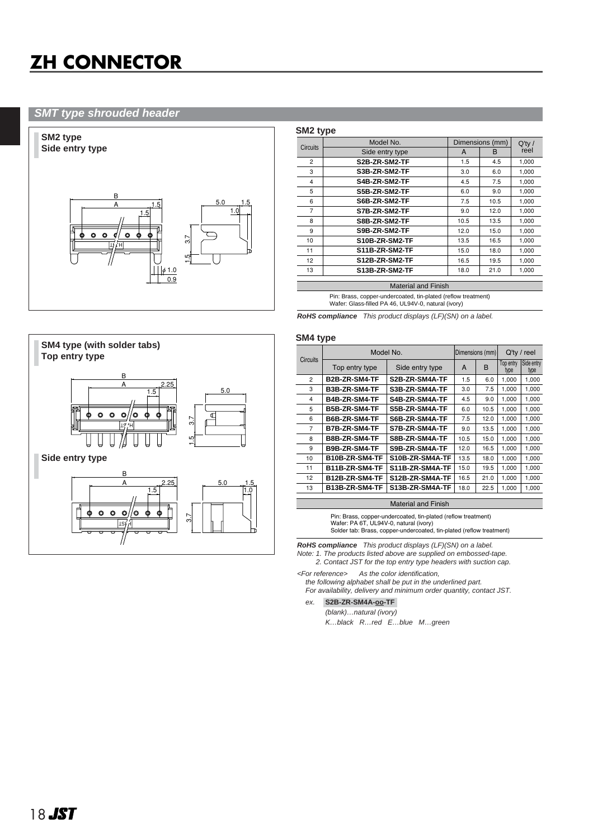# **ZH CONNECTOR**

#### **SMT type shrouded header**



|                 | Model No.                  |      | Dimensions (mm) | $Q'$ ty / |
|-----------------|----------------------------|------|-----------------|-----------|
| <b>Circuits</b> | Side entry type            | A    | B               | reel      |
| 2               | S2B-ZR-SM2-TF              | 1.5  | 4.5             | 1,000     |
| 3               | S3B-ZR-SM2-TF              | 3.0  | 6.0             | 1,000     |
| 4               | S4B-ZR-SM2-TF              | 4.5  | 7.5             | 1,000     |
| 5               | S5B-ZR-SM2-TF              | 6.0  | 9.0             | 1,000     |
| 6               | S6B-ZR-SM2-TF              | 7.5  | 10.5            | 1,000     |
| $\overline{7}$  | S7B-ZR-SM2-TF              | 9.0  | 12.0            | 1,000     |
| 8               | S8B-ZR-SM2-TF              | 10.5 | 13.5            | 1,000     |
| 9               | S9B-ZR-SM2-TF              | 12.0 | 15.0            | 1,000     |
| 10              | S10B-ZR-SM2-TF             | 13.5 | 16.5            | 1,000     |
| 11              | S11B-ZR-SM2-TF             | 15.0 | 18.0            | 1,000     |
| 12              | S12B-ZR-SM2-TF             | 16.5 | 19.5            | 1,000     |
| 13              | S13B-ZR-SM2-TF             | 18.0 | 21.0            | 1,000     |
|                 | <b>Material and Finish</b> |      |                 |           |

Pin: Brass, copper-undercoated, tin-plated (reflow treatment) Wafer: Glass-filled PA 46, UL94V-0, natural (ivory)

**RoHS compliance** This product displays (LF)(SN) on a label.

#### **SM4 type**



|          | Model No.            | Dimensions (mm) |      | $Q'$ ty / reel |                   |                    |
|----------|----------------------|-----------------|------|----------------|-------------------|--------------------|
| Circuits | Top entry type       | Side entry type | A    | B              | Top entry<br>type | Side entry<br>type |
| 2        | <b>B2B-ZR-SM4-TF</b> | S2B-ZR-SM4A-TF  | 1.5  | 6.0            | 1,000             | 1,000              |
| 3        | B3B-ZR-SM4-TF        | S3B-ZR-SM4A-TF  | 3.0  | 7.5            | 1,000             | 1,000              |
| 4        | B4B-ZR-SM4-TF        | S4B-ZR-SM4A-TF  | 4.5  | 9.0            | 1,000             | 1,000              |
| 5        | B5B-ZR-SM4-TF        | S5B-ZR-SM4A-TF  | 6.0  | 10.5           | 1.000             | 1.000              |
| 6        | B6B-ZR-SM4-TF        | S6B-ZR-SM4A-TF  | 7.5  | 12.0           | 1.000             | 1.000              |
| 7        | <b>B7B-ZR-SM4-TF</b> | S7B-ZR-SM4A-TF  | 9.0  | 13.5           | 1.000             | 1,000              |
| 8        | <b>B8B-ZR-SM4-TF</b> | S8B-ZR-SM4A-TF  | 10.5 | 15.0           | 1.000             | 1.000              |
| 9        | B9B-ZR-SM4-TF        | S9B-ZR-SM4A-TF  | 12.0 | 16.5           | 1.000             | 1,000              |
| 10       | B10B-ZR-SM4-TF       | S10B-ZR-SM4A-TF | 13.5 | 18.0           | 1,000             | 1,000              |
| 11       | B11B-ZR-SM4-TF       | S11B-ZR-SM4A-TF | 15.0 | 19.5           | 1,000             | 1,000              |
| 12       | B12B-ZR-SM4-TF       | S12B-ZR-SM4A-TF | 16.5 | 21.0           | 1.000             | 1,000              |
| 13       | B13B-ZR-SM4-TF       | S13B-ZR-SM4A-TF | 18.0 | 22.5           | 1.000             | 1.000              |

#### Material and Finish

Pin: Brass, copper-undercoated, tin-plated (reflow treatment) Wafer: PA 6T, UL94V-0, natural (ivory) Solder tab: Brass, copper-undercoated, tin-plated (reflow treatment)

**RoHS compliance** This product displays (LF)(SN) on a label. Note: 1. The products listed above are supplied on embossed-tape.

2. Contact JST for the top entry type headers with suction cap. <For reference> As the color identification,

the following alphabet shall be put in the underlined part. For availability, delivery and minimum order quantity, contact JST.

#### ex. **S2B-ZR-SM4A-oo-TF-**

(blank)…natural (ivory) K…black R…red E…blue M…green